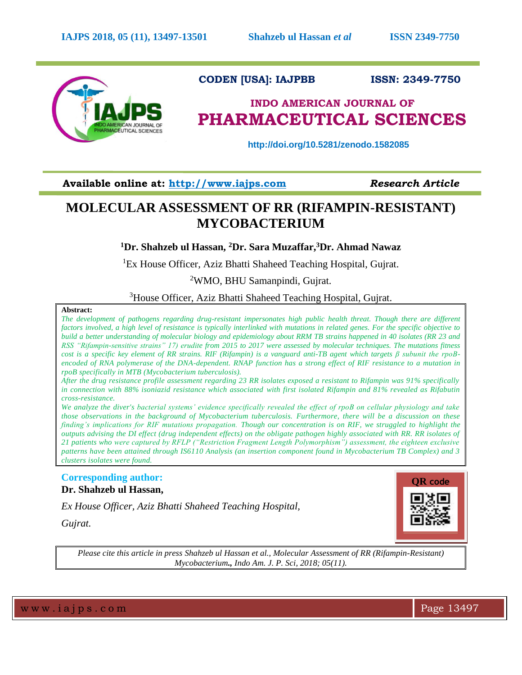

# **CODEN [USA]: IAJPBB ISSN: 2349-7750**

# **INDO AMERICAN JOURNAL OF PHARMACEUTICAL SCIENCES**

 **http://doi.org/10.5281/zenodo.1582085**

**Available online at: [http://www.iajps.com](http://www.iajps.com/)** *Research Article*

# **MOLECULAR ASSESSMENT OF RR (RIFAMPIN-RESISTANT) MYCOBACTERIUM**

# **<sup>1</sup>Dr. Shahzeb ul Hassan, <sup>2</sup>Dr. Sara Muzaffar,<sup>3</sup>Dr. Ahmad Nawaz**

<sup>1</sup>Ex House Officer, Aziz Bhatti Shaheed Teaching Hospital, Guirat.

<sup>2</sup>WMO, BHU Samanpindi, Gujrat.

<sup>3</sup>House Officer, Aziz Bhatti Shaheed Teaching Hospital, Gujrat.

## **Abstract:**

*The development of pathogens regarding drug-resistant impersonates high public health threat. Though there are different factors involved, a high level of resistance is typically interlinked with mutations in related genes. For the specific objective to build a better understanding of molecular biology and epidemiology about RRM TB strains happened in 40 isolates (RR 23 and RSS "Rifampin-sensitive strains" 17) erudite from 2015 to 2017 were assessed by molecular techniques. The mutations fitness cost is a specific key element of RR strains. RIF (Rifampin) is a vanguard anti-TB agent which targets β subunit the rpoBencoded of RNA polymerase of the DNA-dependent. RNAP function has a strong effect of RIF resistance to a mutation in rpoB specifically in MTB (Mycobacterium tuberculosis).*

*After the drug resistance profile assessment regarding 23 RR isolates exposed a resistant to Rifampin was 91% specifically in connection with 88% isoniazid resistance which associated with first isolated Rifampin and 81% revealed as Rifabutin cross-resistance.*

*We analyze the diver's bacterial systems' evidence specifically revealed the effect of rpoB on cellular physiology and take those observations in the background of Mycobacterium tuberculosis. Furthermore, there will be a discussion on these finding's implications for RIF mutations propagation. Though our concentration is on RIF, we struggled to highlight the outputs advising the DI effect (drug independent effects) on the obligate pathogen highly associated with RR. RR isolates of 21 patients who were captured by RFLP ("Restriction Fragment Length Polymorphism") assessment, the eighteen exclusive patterns have been attained through IS6110 Analysis (an insertion component found in Mycobacterium TB Complex) and 3 clusters isolates were found.* 

# **Corresponding author: Dr. Shahzeb ul Hassan,**

*Ex House Officer, Aziz Bhatti Shaheed Teaching Hospital,* 

**QR code**

*Gujrat.*

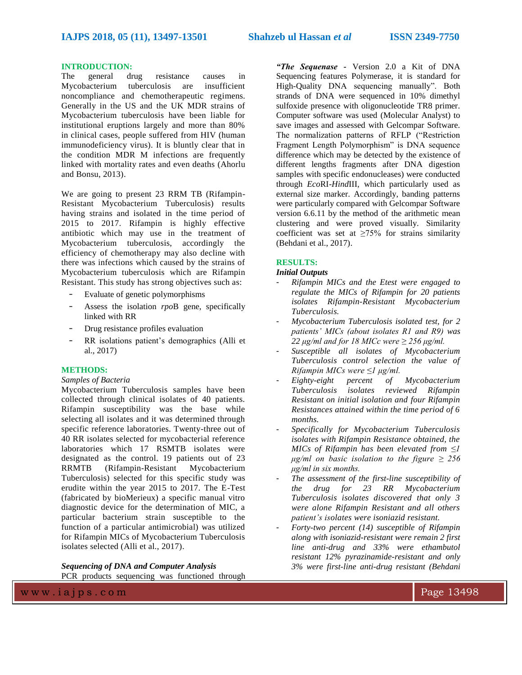#### **INTRODUCTION:**

The general drug resistance causes in Mycobacterium tuberculosis are insufficient noncompliance and chemotherapeutic regimens. Generally in the US and the UK MDR strains of Mycobacterium tuberculosis have been liable for institutional eruptions largely and more than 80% in clinical cases, people suffered from HIV (human immunodeficiency virus). It is bluntly clear that in the condition MDR M infections are frequently linked with mortality rates and even deaths (Ahorlu and Bonsu, 2013).

We are going to present 23 RRM TB (Rifampin-Resistant Mycobacterium Tuberculosis) results having strains and isolated in the time period of 2015 to 2017. Rifampin is highly effective antibiotic which may use in the treatment of Mycobacterium tuberculosis, accordingly the efficiency of chemotherapy may also decline with there was infections which caused by the strains of Mycobacterium tuberculosis which are Rifampin Resistant. This study has strong objectives such as:

- Evaluate of genetic polymorphisms
- Assess the isolation *rpo*B gene, specifically linked with RR
- Drug resistance profiles evaluation
- RR isolations patient's demographics (Alli et al., 2017)

### **METHODS:**

#### *Samples of Bacteria*

Mycobacterium Tuberculosis samples have been collected through clinical isolates of 40 patients. Rifampin susceptibility was the base while selecting all isolates and it was determined through specific reference laboratories. Twenty-three out of 40 RR isolates selected for mycobacterial reference laboratories which 17 RSMTB isolates were designated as the control. 19 patients out of 23 RRMTB (Rifampin-Resistant Mycobacterium Tuberculosis) selected for this specific study was erudite within the year 2015 to 2017. The E-Test (fabricated by bioMerieux) a specific manual vitro diagnostic device for the determination of MIC, a particular bacterium strain susceptible to the function of a particular antimicrobial) was utilized for Rifampin MICs of Mycobacterium Tuberculosis isolates selected (Alli et al., 2017).

*Sequencing of DNA and Computer Analysis* PCR products sequencing was functioned through *"The Sequenase -* Version 2.0 a Kit of DNA Sequencing features Polymerase, it is standard for High-Quality DNA sequencing manually". Both strands of DNA were sequenced in 10% dimethyl sulfoxide presence with oligonucleotide TR8 primer. Computer software was used (Molecular Analyst) to save images and assessed with Gelcompar Software. The normalization patterns of RFLP ("Restriction Fragment Length Polymorphism" is DNA sequence difference which may be detected by the existence of different lengths fragments after DNA digestion samples with specific endonucleases) were conducted through *Eco*RI-*Hind*III, which particularly used as external size marker. Accordingly, banding patterns were particularly compared with Gelcompar Software version 6.6.11 by the method of the arithmetic mean clustering and were proved visually. Similarity coefficient was set at  $\geq 75\%$  for strains similarity (Behdani et al., 2017).

#### **RESULTS:**

### *Initial Outputs*

- *Rifampin MICs and the Etest were engaged to regulate the MICs of Rifampin for 20 patients isolates Rifampin-Resistant Mycobacterium Tuberculosis.*
- *Mycobacterium Tuberculosis isolated test, for 2 patients' MICs (about isolates R1 and R9) was 22 μg/ml and for 18 MICc were ≥ 256 μg/ml.*
- *Susceptible all isolates of Mycobacterium Tuberculosis control selection the value of Rifampin MICs were ≤1 μg/ml.*
- *Eighty-eight percent of Mycobacterium Tuberculosis isolates reviewed Rifampin Resistant on initial isolation and four Rifampin Resistances attained within the time period of 6 months.*
- *Specifically for Mycobacterium Tuberculosis isolates with Rifampin Resistance obtained, the MICs of Rifampin has been elevated from ≤1 μg/ml on basic isolation to the figure ≥ 256 μg/ml in six months.*
- *The assessment of the first-line susceptibility of the drug for 23 RR Mycobacterium Tuberculosis isolates discovered that only 3 were alone Rifampin Resistant and all others patient's isolates were isoniazid resistant.*
- *Forty-two percent (14) susceptible of Rifampin along with isoniazid-resistant were remain 2 first line anti-drug and 33% were ethambutol resistant 12% pyrazinamide-resistant and only 3% were first-line anti-drug resistant (Behdani*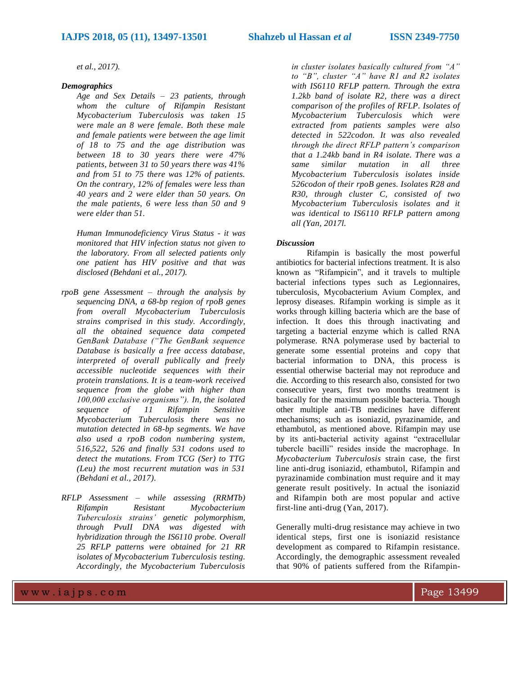*et al., 2017).* 

#### *Demographics*

*Age and Sex Details – 23 patients, through whom the culture of Rifampin Resistant Mycobacterium Tuberculosis was taken 15 were male an 8 were female. Both these male and female patients were between the age limit of 18 to 75 and the age distribution was between 18 to 30 years there were 47% patients, between 31 to 50 years there was 41% and from 51 to 75 there was 12% of patients. On the contrary, 12% of females were less than 40 years and 2 were elder than 50 years. On the male patients, 6 were less than 50 and 9 were elder than 51.* 

*Human Immunodeficiency Virus Status - it was monitored that HIV infection status not given to the laboratory. From all selected patients only one patient has HIV positive and that was disclosed (Behdani et al., 2017).* 

- *rpoB gene Assessment – through the analysis by sequencing DNA, a 68-bp region of rpoB genes from overall Mycobacterium Tuberculosis strains comprised in this study. Accordingly, all the obtained sequence data competed GenBank Database ("The GenBank sequence Database is basically a free access database, interpreted of overall publically and freely accessible nucleotide sequences with their protein translations. It is a team-work received sequence from the globe with higher than 100,000 exclusive organisms"). In, the isolated sequence of 11 Rifampin Sensitive Mycobacterium Tuberculosis there was no mutation detected in 68-bp segments. We have also used a rpoB codon numbering system, 516,522, 526 and finally 531 codons used to detect the mutations. From TCG (Ser) to TTG (Leu) the most recurrent mutation was in 531 (Behdani et al., 2017).*
- *RFLP Assessment – while assessing (RRMTb) Rifampin Resistant Mycobacterium Tuberculosis strains' genetic polymorphism, through PvuII DNA was digested with hybridization through the IS6110 probe. Overall 25 RFLP patterns were obtained for 21 RR isolates of Mycobacterium Tuberculosis testing. Accordingly, the Mycobacterium Tuberculosis*

*in cluster isolates basically cultured from "A" to "B", cluster "A" have R1 and R2 isolates with IS6110 RFLP pattern. Through the extra 1.2kb band of isolate R2, there was a direct comparison of the profiles of RFLP. Isolates of Mycobacterium Tuberculosis which were extracted from patients samples were also detected in 522codon. It was also revealed through the direct RFLP pattern's comparison that a 1.24kb band in R4 isolate. There was a same similar mutation in all three Mycobacterium Tuberculosis isolates inside 526codon of their rpoB genes. Isolates R28 and R30, through cluster C, consisted of two Mycobacterium Tuberculosis isolates and it was identical to IS6110 RFLP pattern among all (Yan, 2017l.* 

#### *Discussion*

Rifampin is basically the most powerful antibiotics for bacterial infections treatment. It is also known as "Rifampicin", and it travels to multiple bacterial infections types such as Legionnaires, tuberculosis, Mycobacterium Avium Complex, and leprosy diseases. Rifampin working is simple as it works through killing bacteria which are the base of infection. It does this through inactivating and targeting a bacterial enzyme which is called RNA polymerase. RNA polymerase used by bacterial to generate some essential proteins and copy that bacterial information to DNA, this process is essential otherwise bacterial may not reproduce and die. According to this research also, consisted for two consecutive years, first two months treatment is basically for the maximum possible bacteria. Though other multiple anti-TB medicines have different mechanisms; such as isoniazid, pyrazinamide, and ethambutol, as mentioned above. Rifampin may use by its anti-bacterial activity against "extracellular tubercle bacilli" resides inside the macrophage. In *Mycobacterium Tuberculosis* strain case, the first line anti-drug isoniazid, ethambutol, Rifampin and pyrazinamide combination must require and it may generate result positively. In actual the isoniazid and Rifampin both are most popular and active first-line anti-drug (Yan, 2017).

Generally multi-drug resistance may achieve in two identical steps, first one is isoniazid resistance development as compared to Rifampin resistance. Accordingly, the demographic assessment revealed that 90% of patients suffered from the Rifampin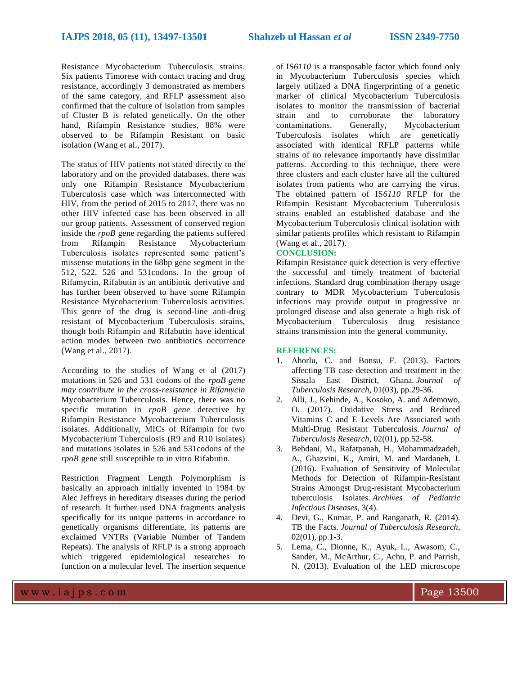Resistance Mycobacterium Tuberculosis strains. Six patients Timorese with contact tracing and drug resistance, accordingly 3 demonstrated as members of the same category, and RFLP assessment also confirmed that the culture of isolation from samples of Cluster B is related genetically. On the other hand, Rifampin Resistance studies, 88% were observed to be Rifampin Resistant on basic isolation (Wang et al., 2017).

The status of HIV patients not stated directly to the laboratory and on the provided databases, there was only one Rifampin Resistance Mycobacterium Tuberculosis case which was interconnected with HIV, from the period of 2015 to 2017, there was no other HIV infected case has been observed in all our group patients. Assessment of conserved region inside the *rpoB* gene regarding the patients suffered from Rifampin Resistance Mycobacterium Tuberculosis isolates represented some patient's missense mutations in the 68bp gene segment in the 512, 522, 526 and 531codons. In the group of Rifamycin, Rifabutin is an antibiotic derivative and has further been observed to have some Rifampin Resistance Mycobacterium Tuberculosis activities. This genre of the drug is second-line anti-drug resistant of Mycobacterium Tuberculosis strains, though both Rifampin and Rifabutin have identical action modes between two antibiotics occurrence (Wang et al., 2017).

According to the studies of Wang et al (2017) mutations in 526 and 531 codons of the *rpoB gene may contribute in the cross-resistance in Rifamycin*  Mycobacterium Tuberculosis. Hence, there was no specific mutation in *rpoB gene* detective by Rifampin Resistance Mycobacterium Tuberculosis isolates. Additionally, MICs of Rifampin for two Mycobacterium Tuberculosis (R9 and R10 isolates) and mutations isolates in 526 and 531codons of the *rpoB* gene still susceptible to in vitro Rifabutin.

Restriction Fragment Length Polymorphism is basically an approach initially invented in 1984 by Alec Jeffreys in hereditary diseases during the period of research. It further used DNA fragments analysis specifically for its unique patterns in accordance to genetically organisms differentiate, its patterns are exclaimed VNTRs (Variable Number of Tandem Repeats). The analysis of RFLP is a strong approach which triggered epidemiological researches to function on a molecular level. The insertion sequence of IS*6110* is a transposable factor which found only in Mycobacterium Tuberculosis species which largely utilized a DNA fingerprinting of a genetic marker of clinical Mycobacterium Tuberculosis isolates to monitor the transmission of bacterial strain and to corroborate the laboratory contaminations. Generally, Mycobacterium Tuberculosis isolates which are genetically associated with identical RFLP patterns while strains of no relevance importantly have dissimilar patterns. According to this technique, there were three clusters and each cluster have all the cultured isolates from patients who are carrying the virus. The obtained pattern of IS*6110* RFLP for the Rifampin Resistant Mycobacterium Tuberculosis strains enabled an established database and the Mycobacterium Tuberculosis clinical isolation with similar patients profiles which resistant to Rifampin (Wang et al., 2017).

## **CONCLUSION:**

Rifampin Resistance quick detection is very effective the successful and timely treatment of bacterial infections. Standard drug combination therapy usage contrary to MDR Mycobacterium Tuberculosis infections may provide output in progressive or prolonged disease and also generate a high risk of Mycobacterium Tuberculosis drug resistance strains transmission into the general community.

#### **REFERENCES:**

- 1. Ahorlu, C. and Bonsu, F. (2013). Factors affecting TB case detection and treatment in the Sissala East District, Ghana. *Journal of Tuberculosis Research*, 01(03), pp.29-36.
- 2. Alli, J., Kehinde, A., Kosoko, A. and Ademowo, O. (2017). Oxidative Stress and Reduced Vitamins C and E Levels Are Associated with Multi-Drug Resistant Tuberculosis. *Journal of Tuberculosis Research*, 02(01), pp.52-58.
- 3. Behdani, M., Rafatpanah, H., Mohammadzadeh, A., Ghazvini, K., Amiri, M. and Mardaneh, J. (2016). Evaluation of Sensitivity of Molecular Methods for Detection of Rifampin-Resistant Strains Amongst Drug-resistant Mycobacterium tuberculosis Isolates. *Archives of Pediatric Infectious Diseases*, 3(4).
- 4. Devi, G., Kumar, P. and Ranganath, R. (2014). TB the Facts. *Journal of Tuberculosis Research*, 02(01), pp.1-3.
- 5. Lema, C., Dionne, K., Ayuk, L., Awasom, C., Sander, M., McArthur, C., Achu, P. and Parrish, N. (2013). Evaluation of the LED microscope